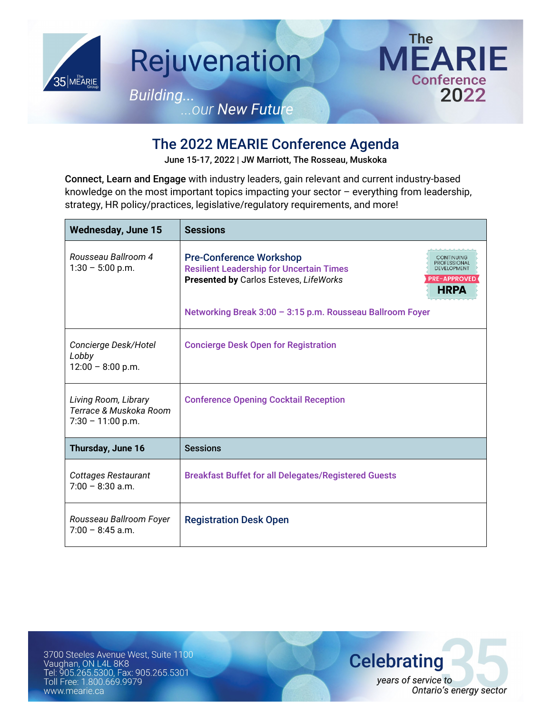

## The 2022 MEARIE Conference Agenda

June 15-17, 2022 | JW Marriott, The Rosseau, Muskoka

Connect, Learn and Engage with industry leaders, gain relevant and current industry-based knowledge on the most important topics impacting your sector – everything from leadership, strategy, HR policy/practices, legislative/regulatory requirements, and more!

| <b>Wednesday, June 15</b>                                             | <b>Sessions</b>                                                                                                                                                                                                       |
|-----------------------------------------------------------------------|-----------------------------------------------------------------------------------------------------------------------------------------------------------------------------------------------------------------------|
| Rousseau Ballroom 4<br>$1:30 - 5:00$ p.m.                             | <b>Pre-Conference Workshop</b><br>CONTINUING<br><b>PROFESSIONAL</b><br><b>Resilient Leadership for Uncertain Times</b><br>DEVELOPMENT<br><b>PRE-APPROVED</b><br>Presented by Carlos Esteves, LifeWorks<br><b>HRPA</b> |
|                                                                       | Networking Break 3:00 - 3:15 p.m. Rousseau Ballroom Foyer                                                                                                                                                             |
| Concierge Desk/Hotel<br>Lobby<br>$12:00 - 8:00$ p.m.                  | <b>Concierge Desk Open for Registration</b>                                                                                                                                                                           |
| Living Room, Library<br>Terrace & Muskoka Room<br>$7:30 - 11:00$ p.m. | <b>Conference Opening Cocktail Reception</b>                                                                                                                                                                          |
| Thursday, June 16                                                     | <b>Sessions</b>                                                                                                                                                                                                       |
| Cottages Restaurant<br>$7:00 - 8:30$ a.m.                             | <b>Breakfast Buffet for all Delegates/Registered Guests</b>                                                                                                                                                           |
| Rousseau Ballroom Foyer<br>$7:00 - 8:45$ a.m.                         | <b>Registration Desk Open</b>                                                                                                                                                                                         |

3700 Steeles Avenue West, Suite 1100 Vaughan, ON L4L 8K8 Tel: 905.265.5300, Fax: 905.265.5301 Toll Free: 1.800.669.9979 www.mearie.ca

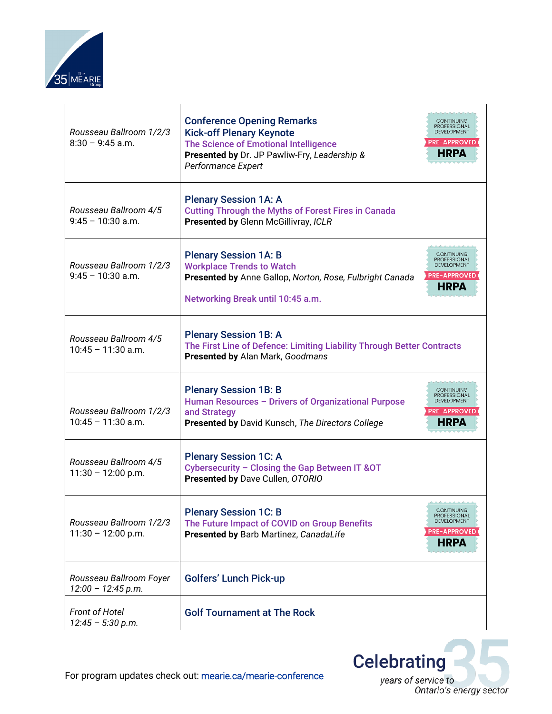

| Rousseau Ballroom 1/2/3<br>$8:30 - 9:45$ a.m.   | <b>Conference Opening Remarks</b><br><b>CONTINUING</b><br><b>PROFESSIONAL</b><br><b>Kick-off Plenary Keynote</b><br>DEVELOPMENT<br><b>PRE-APPROVED</b><br>The Science of Emotional Intelligence<br>HRPA<br>Presented by Dr. JP Pawliw-Fry, Leadership &<br>Performance Expert |
|-------------------------------------------------|-------------------------------------------------------------------------------------------------------------------------------------------------------------------------------------------------------------------------------------------------------------------------------|
| Rousseau Ballroom 4/5<br>$9:45 - 10:30$ a.m.    | <b>Plenary Session 1A: A</b><br><b>Cutting Through the Myths of Forest Fires in Canada</b><br>Presented by Glenn McGillivray, ICLR                                                                                                                                            |
| Rousseau Ballroom 1/2/3<br>$9:45 - 10:30$ a.m.  | <b>Plenary Session 1A: B</b><br>CONTINUING<br><b>PROFESSIONAL</b><br><b>Workplace Trends to Watch</b><br>DEVELOPMENT<br><b>PRE-APPROVED</b><br>Presented by Anne Gallop, Norton, Rose, Fulbright Canada<br>HRPA<br>Networking Break until 10:45 a.m.                          |
| Rousseau Ballroom 4/5<br>$10:45 - 11:30$ a.m.   | <b>Plenary Session 1B: A</b><br>The First Line of Defence: Limiting Liability Through Better Contracts<br>Presented by Alan Mark, Goodmans                                                                                                                                    |
| Rousseau Ballroom 1/2/3<br>$10:45 - 11:30$ a.m. | <b>Plenary Session 1B: B</b><br>CONTINUING<br><b>PROFESSIONAL</b><br>Human Resources - Drivers of Organizational Purpose<br>DEVELOPMENT<br><b>PRE-APPROVED</b><br>and Strategy<br>HRPA<br>Presented by David Kunsch, The Directors College                                    |
| Rousseau Ballroom 4/5<br>$11:30 - 12:00$ p.m.   | <b>Plenary Session 1C: A</b><br>Cybersecurity - Closing the Gap Between IT & OT<br>Presented by Dave Cullen, OTORIO                                                                                                                                                           |
| Rousseau Ballroom 1/2/3<br>$11:30 - 12:00 p.m.$ | <b>Plenary Session 1C: B</b><br>CONTINUING<br><b>PROFESSIONAL</b><br>DEVELOPMENT<br>The Future Impact of COVID on Group Benefits<br><b>PRE-APPROVED</b><br>Presented by Barb Martinez, CanadaLife<br><b>HRPA</b>                                                              |
| Rousseau Ballroom Foyer<br>$12:00 - 12:45 p.m.$ | <b>Golfers' Lunch Pick-up</b>                                                                                                                                                                                                                                                 |
| <b>Front of Hotel</b><br>$12:45 - 5:30 p.m.$    | <b>Golf Tournament at The Rock</b>                                                                                                                                                                                                                                            |



For program updates check out: [mearie.ca/mearie-conference](https://secure3.mearie.ca/mearie-conference?hsLang=en)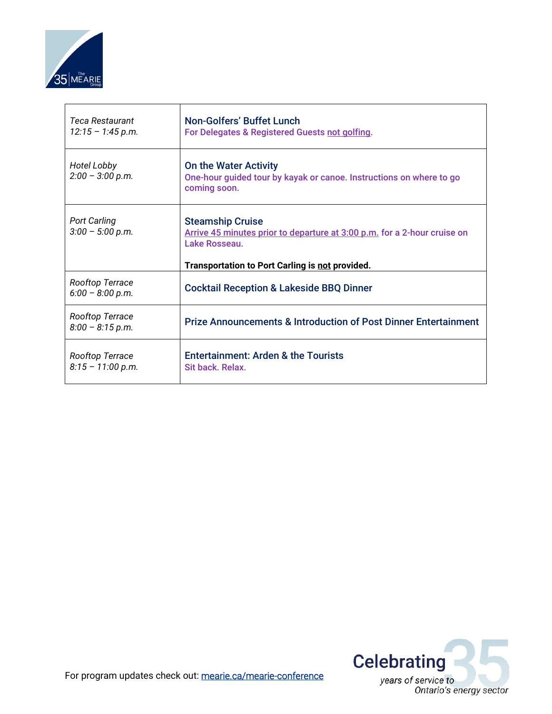

| <b>Teca Restaurant</b><br>$12:15 - 1:45$ p.m. | <b>Non-Golfers' Buffet Lunch</b><br>For Delegates & Registered Guests not golfing.                                                                                      |
|-----------------------------------------------|-------------------------------------------------------------------------------------------------------------------------------------------------------------------------|
| Hotel Lobby<br>$2:00 - 3:00$ p.m.             | <b>On the Water Activity</b><br>One-hour guided tour by kayak or canoe. Instructions on where to go<br>coming soon.                                                     |
| <b>Port Carling</b><br>$3:00 - 5:00 p.m.$     | <b>Steamship Cruise</b><br>Arrive 45 minutes prior to departure at 3:00 p.m. for a 2-hour cruise on<br>Lake Rosseau.<br>Transportation to Port Carling is not provided. |
| Rooftop Terrace<br>$6:00 - 8:00 p.m.$         | <b>Cocktail Reception &amp; Lakeside BBQ Dinner</b>                                                                                                                     |
| Rooftop Terrace<br>$8:00 - 8:15$ p.m.         | <b>Prize Announcements &amp; Introduction of Post Dinner Entertainment</b>                                                                                              |
| Rooftop Terrace<br>$8:15 - 11:00 p.m.$        | <b>Entertainment: Arden &amp; the Tourists</b><br>Sit back, Relax.                                                                                                      |